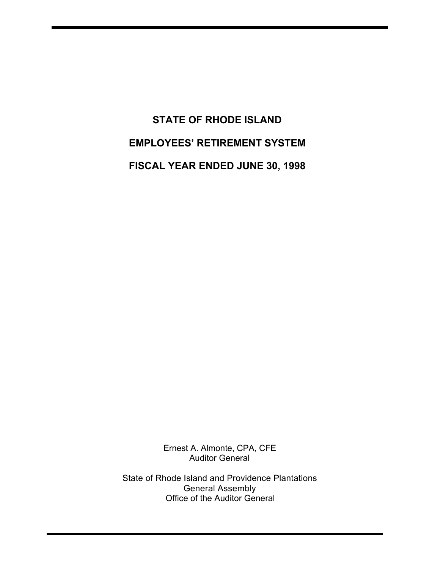# **STATE OF RHODE ISLAND EMPLOYEES' RETIREMENT SYSTEM FISCAL YEAR ENDED JUNE 30, 1998**

Ernest A. Almonte, CPA, CFE Auditor General

State of Rhode Island and Providence Plantations General Assembly Office of the Auditor General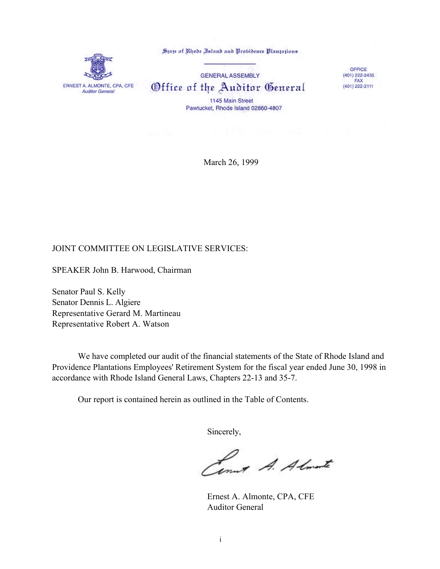

State of Rhode Island and Probidence Plantations

**GENERAL ASSEMBLY** Office of the Auditor General 1145 Main Street Pawtucket, Rhode Island 02860-4807

OFFICE  $(401)$  222-2435  $FAX$ (401) 222-2111

March 26, 1999

#### JOINT COMMITTEE ON LEGISLATIVE SERVICES:

SPEAKER John B. Harwood, Chairman

Senator Paul S. Kelly Senator Dennis L. Algiere Representative Gerard M. Martineau Representative Robert A. Watson

We have completed our audit of the financial statements of the State of Rhode Island and Providence Plantations Employees' Retirement System for the fiscal year ended June 30, 1998 in accordance with Rhode Island General Laws, Chapters 22-13 and 35-7.

Our report is contained herein as outlined in the Table of Contents.

Sincerely,

Comet A. Almost

Ernest A. Almonte, CPA, CFE Auditor General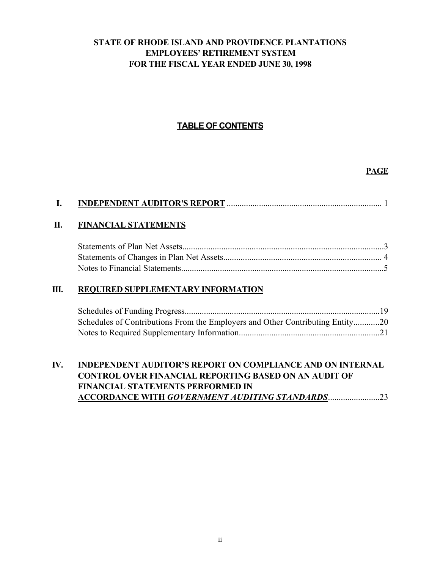### **STATE OF RHODE ISLAND AND PROVIDENCE PLANTATIONS EMPLOYEES' RETIREMENT SYSTEM FOR THE FISCAL YEAR ENDED JUNE 30, 1998**

### **TABLE OF CONTENTS**

### **PAGE**

### **II. FINANCIAL STATEMENTS**

#### **III. REQUIRED SUPPLEMENTARY INFORMATION**

| Schedules of Contributions From the Employers and Other Contributing Entity20 |  |
|-------------------------------------------------------------------------------|--|
|                                                                               |  |

### **IV. INDEPENDENT AUDITOR'S REPORT ON COMPLIANCE AND ON INTERNAL CONTROL OVER FINANCIAL REPORTING BASED ON AN AUDIT OF FINANCIAL STATEMENTS PERFORMED IN ACCORDANCE WITH** *GOVERNMENT AUDITING STANDARDS*........................23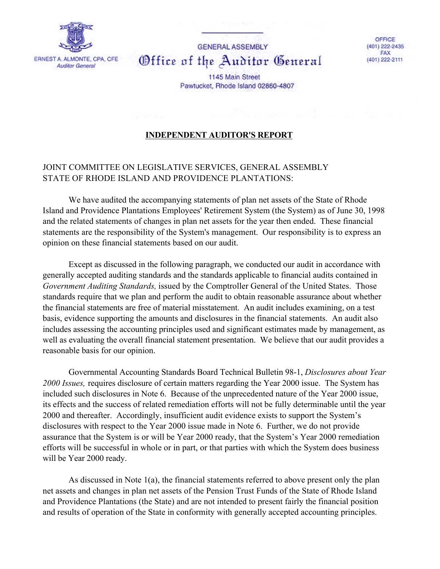

**GENERAL ASSEMBLY** Office of the Auditor General

OFFICE (401) 222-2435 FAX (401) 222-2111

1145 Main Street Pawtucket, Rhode Island 02860-4807

### **INDEPENDENT AUDITOR'S REPORT**

### JOINT COMMITTEE ON LEGISLATIVE SERVICES, GENERAL ASSEMBLY STATE OF RHODE ISLAND AND PROVIDENCE PLANTATIONS:

We have audited the accompanying statements of plan net assets of the State of Rhode Island and Providence Plantations Employees' Retirement System (the System) as of June 30, 1998 and the related statements of changes in plan net assets for the year then ended. These financial statements are the responsibility of the System's management. Our responsibility is to express an opinion on these financial statements based on our audit.

Except as discussed in the following paragraph, we conducted our audit in accordance with generally accepted auditing standards and the standards applicable to financial audits contained in *Government Auditing Standards,* issued by the Comptroller General of the United States. Those standards require that we plan and perform the audit to obtain reasonable assurance about whether the financial statements are free of material misstatement. An audit includes examining, on a test basis, evidence supporting the amounts and disclosures in the financial statements. An audit also includes assessing the accounting principles used and significant estimates made by management, as well as evaluating the overall financial statement presentation. We believe that our audit provides a reasonable basis for our opinion.

Governmental Accounting Standards Board Technical Bulletin 98-1, *Disclosures about Year 2000 Issues,* requires disclosure of certain matters regarding the Year 2000 issue. The System has included such disclosures in Note 6. Because of the unprecedented nature of the Year 2000 issue, its effects and the success of related remediation efforts will not be fully determinable until the year 2000 and thereafter. Accordingly, insufficient audit evidence exists to support the System's disclosures with respect to the Year 2000 issue made in Note 6. Further, we do not provide assurance that the System is or will be Year 2000 ready, that the System's Year 2000 remediation efforts will be successful in whole or in part, or that parties with which the System does business will be Year 2000 ready.

As discussed in Note 1(a), the financial statements referred to above present only the plan net assets and changes in plan net assets of the Pension Trust Funds of the State of Rhode Island and Providence Plantations (the State) and are not intended to present fairly the financial position and results of operation of the State in conformity with generally accepted accounting principles.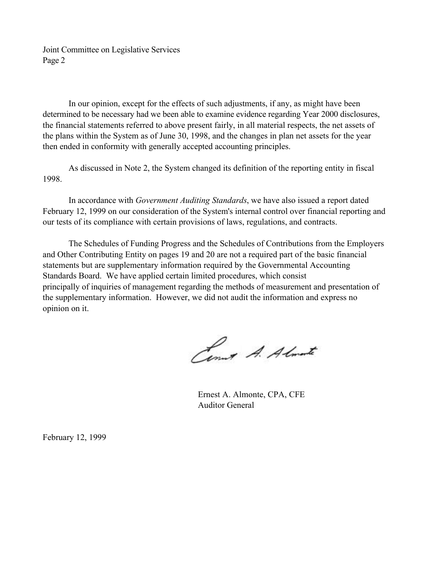Joint Committee on Legislative Services Page 2

In our opinion, except for the effects of such adjustments, if any, as might have been determined to be necessary had we been able to examine evidence regarding Year 2000 disclosures, the financial statements referred to above present fairly, in all material respects, the net assets of the plans within the System as of June 30, 1998, and the changes in plan net assets for the year then ended in conformity with generally accepted accounting principles.

As discussed in Note 2, the System changed its definition of the reporting entity in fiscal 1998.

In accordance with *Government Auditing Standards*, we have also issued a report dated February 12, 1999 on our consideration of the System's internal control over financial reporting and our tests of its compliance with certain provisions of laws, regulations, and contracts.

The Schedules of Funding Progress and the Schedules of Contributions from the Employers and Other Contributing Entity on pages 19 and 20 are not a required part of the basic financial statements but are supplementary information required by the Governmental Accounting Standards Board. We have applied certain limited procedures, which consist principally of inquiries of management regarding the methods of measurement and presentation of the supplementary information. However, we did not audit the information and express no opinion on it.

Como A. Almante

Ernest A. Almonte, CPA, CFE Auditor General

February 12, 1999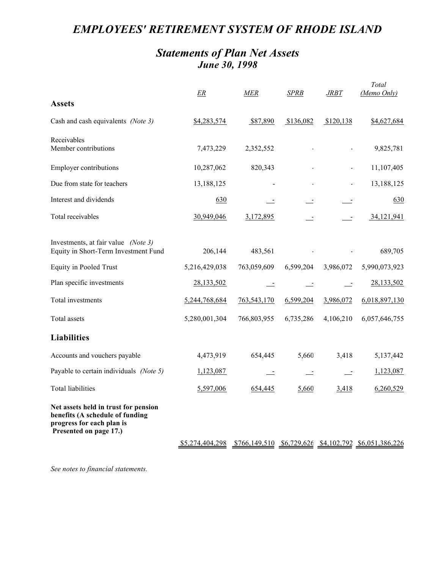# *EMPLOYEES' RETIREMENT SYSTEM OF RHODE ISLAND*

### *Statements of Plan Net Assets June 30, 1998*

| <b>Assets</b>                                                                                                                  | <u>ER</u>       | MER         | SPRB      | JRBT      | Total<br>(Memo Only)                                      |
|--------------------------------------------------------------------------------------------------------------------------------|-----------------|-------------|-----------|-----------|-----------------------------------------------------------|
| Cash and cash equivalents (Note 3)                                                                                             | \$4,283,574     | \$87,890    | \$136,082 | \$120,138 | \$4,627,684                                               |
| Receivables<br>Member contributions                                                                                            | 7,473,229       | 2,352,552   |           |           | 9,825,781                                                 |
| <b>Employer contributions</b>                                                                                                  | 10,287,062      | 820,343     |           |           | 11,107,405                                                |
| Due from state for teachers                                                                                                    | 13,188,125      |             |           |           | 13,188,125                                                |
| Interest and dividends                                                                                                         | 630             |             |           |           | 630                                                       |
| Total receivables                                                                                                              | 30,949,046      | 3,172,895   |           |           | 34, 121, 941                                              |
| Investments, at fair value (Note 3)<br>Equity in Short-Term Investment Fund                                                    | 206,144         | 483,561     |           |           | 689,705                                                   |
| <b>Equity in Pooled Trust</b>                                                                                                  | 5,216,429,038   | 763,059,609 | 6,599,204 | 3,986,072 | 5,990,073,923                                             |
| Plan specific investments                                                                                                      | 28,133,502      | $\equiv$    |           | $\sim$    | 28,133,502                                                |
| Total investments                                                                                                              | 5,244,768,684   | 763,543,170 | 6,599,204 | 3,986,072 | 6,018,897,130                                             |
| Total assets                                                                                                                   | 5,280,001,304   | 766,803,955 | 6,735,286 | 4,106,210 | 6,057,646,755                                             |
| <b>Liabilities</b>                                                                                                             |                 |             |           |           |                                                           |
| Accounts and vouchers payable                                                                                                  | 4,473,919       | 654,445     | 5,660     | 3,418     | 5,137,442                                                 |
| Payable to certain individuals (Note 5)                                                                                        | 1,123,087       |             |           |           | 1,123,087                                                 |
| <b>Total liabilities</b>                                                                                                       | 5,597,006       | 654,445     | 5,660     | 3,418     | 6,260,529                                                 |
| Net assets held in trust for pension<br>benefits (A schedule of funding<br>progress for each plan is<br>Presented on page 17.) |                 |             |           |           |                                                           |
|                                                                                                                                | \$5,274,404,298 |             |           |           | $$766,149,510$ $$6,729,626$ $$4,102,792$ $$6,051,386,226$ |

*See notes to financial statements.*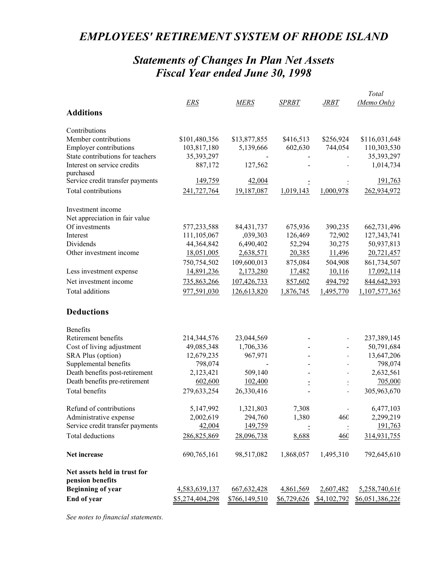# *EMPLOYEES' RETIREMENT SYSTEM OF RHODE ISLAND*

# *Statements of Changes In Plan Net Assets Fiscal Year ended June 30, 1998*

|                                  |                 |               |              |             | Total           |
|----------------------------------|-----------------|---------------|--------------|-------------|-----------------|
|                                  | ERS             | MERS          | <b>SPRBT</b> | <b>JRBT</b> | (Memo Only)     |
| <b>Additions</b>                 |                 |               |              |             |                 |
| Contributions                    |                 |               |              |             |                 |
| Member contributions             | \$101,480,356   | \$13,877,855  | \$416,513    | \$256,924   | \$116,031,648   |
| <b>Employer contributions</b>    | 103,817,180     | 5,139,666     | 602,630      | 744,054     | 110,303,530     |
| State contributions for teachers | 35,393,297      |               |              |             | 35,393,297      |
| Interest on service credits      | 887,172         | 127,562       |              |             | 1,014,734       |
| purchased                        |                 |               |              |             |                 |
| Service credit transfer payments | 149,759         | 42,004        |              |             | 191,763         |
| Total contributions              | 241,727,764     | 19,187,087    | 1,019,143    | 1,000,978   | 262,934,972     |
| Investment income                |                 |               |              |             |                 |
| Net appreciation in fair value   |                 |               |              |             |                 |
| Of investments                   | 577,233,588     | 84, 431, 737  | 675,936      | 390,235     | 662,731,496     |
| Interest                         | 111,105,067     | ,039,303      | 126,469      | 72,902      | 127,343,741     |
| Dividends                        | 44,364,842      | 6,490,402     | 52,294       | 30,275      | 50,937,813      |
| Other investment income          | 18,051,005      | 2,638,571     | 20,385       | 11,496      | 20,721,457      |
|                                  | 750,754,502     | 109,600,013   | 875,084      | 504,908     | 861,734,507     |
| Less investment expense          | 14,891,236      | 2,173,280     | 17,482       | 10,116      | 17,092,114      |
| Net investment income            | 735,863,266     | 107,426,733   | 857,602      | 494,792     | 844,642,393     |
| Total additions                  | 977,591,030     | 126,613,820   | 1,876,745    | 1,495,770   | 1,107,577,365   |
| <b>Deductions</b>                |                 |               |              |             |                 |
| Benefits                         |                 |               |              |             |                 |
| Retirement benefits              | 214,344,576     | 23,044,569    |              |             | 237,389,145     |
| Cost of living adjustment        | 49,085,348      | 1,706,336     |              |             | 50,791,684      |
| SRA Plus (option)                | 12,679,235      | 967,971       |              |             | 13,647,206      |
| Supplemental benefits            | 798,074         |               |              |             | 798,074         |
| Death benefits post-retirement   | 2,123,421       | 509,140       |              |             | 2,632,561       |
| Death benefits pre-retirement    | 602,600         | 102,400       |              |             | 705,000         |
| Total benefits                   | 279,633,254     | 26,330,416    |              |             | 305,963,670     |
| Refund of contributions          | 5,147,992       | 1,321,803     | 7,308        |             | 6,477,103       |
| Administrative expense           | 2,002,619       | 294,760       | 1,380        | 460         | 2,299,219       |
| Service credit transfer payments | 42,004          | 149,759       |              |             | 191,763         |
| Total deductions                 | 286,825,869     | 28,096,738    | 8,688        | 460         | 314,931,755     |
| Net increase                     | 690,765,161     | 98,517,082    | 1,868,057    | 1,495,310   | 792,645,610     |
| Net assets held in trust for     |                 |               |              |             |                 |
| pension benefits                 |                 |               |              |             |                 |
| <b>Beginning of year</b>         | 4,583,639,137   | 667,632,428   | 4,861,569    | 2,607,482   | 5,258,740,616   |
| End of year                      | \$5,274,404,298 | \$766,149,510 | \$6,729,626  | \$4,102,792 | \$6,051,386,226 |

*See notes to financial statements.*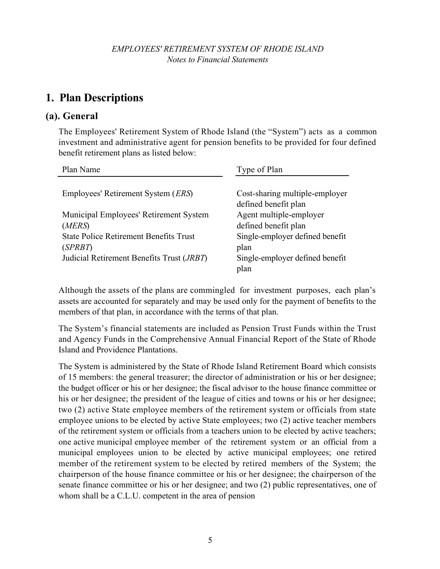# **1. Plan Descriptions**

### **(a). General**

The Employees' Retirement System of Rhode Island (the "System") acts as a common investment and administrative agent for pension benefits to be provided for four defined benefit retirement plans as listed below:

| Plan Name                                          | Type of Plan                    |
|----------------------------------------------------|---------------------------------|
|                                                    |                                 |
| Employees' Retirement System ( <i>ERS</i> )        | Cost-sharing multiple-employer  |
|                                                    | defined benefit plan            |
| Municipal Employees' Retirement System             | Agent multiple-employer         |
| (MERS)                                             | defined benefit plan            |
| <b>State Police Retirement Benefits Trust</b>      | Single-employer defined benefit |
| (SPRBT)                                            | plan                            |
| Judicial Retirement Benefits Trust ( <i>JRBT</i> ) | Single-employer defined benefit |
|                                                    | plan                            |

Although the assets of the plans are commingled for investment purposes, each plan's assets are accounted for separately and may be used only for the payment of benefits to the members of that plan, in accordance with the terms of that plan.

The System's financial statements are included as Pension Trust Funds within the Trust and Agency Funds in the Comprehensive Annual Financial Report of the State of Rhode Island and Providence Plantations.

The System is administered by the State of Rhode Island Retirement Board which consists of 15 members: the general treasurer; the director of administration or his or her designee; the budget officer or his or her designee; the fiscal advisor to the house finance committee or his or her designee; the president of the league of cities and towns or his or her designee; two (2) active State employee members of the retirement system or officials from state employee unions to be elected by active State employees; two (2) active teacher members of the retirement system or officials from a teachers union to be elected by active teachers; one active municipal employee member of the retirement system or an official from a municipal employees union to be elected by active municipal employees; one retired member of the retirement system to be elected by retired members of the System; the chairperson of the house finance committee or his or her designee; the chairperson of the senate finance committee or his or her designee; and two (2) public representatives, one of whom shall be a C.L.U. competent in the area of pension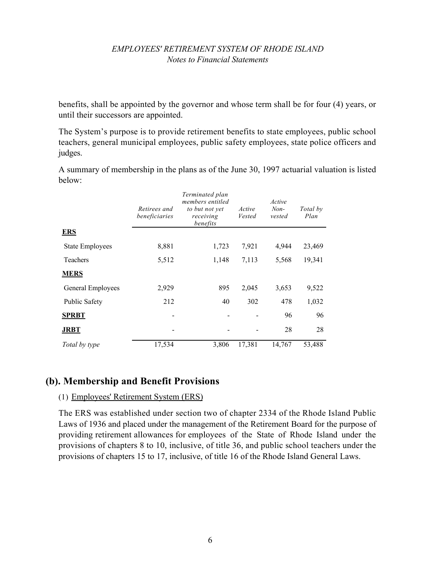benefits, shall be appointed by the governor and whose term shall be for four (4) years, or until their successors are appointed.

The System's purpose is to provide retirement benefits to state employees, public school teachers, general municipal employees, public safety employees, state police officers and judges.

A summary of membership in the plans as of the June 30, 1997 actuarial valuation is listed below:

|                        | Retirees and<br>beneficiaries | Terminated plan<br>members entitled<br>to but not yet<br>receiving<br>benefits | Active<br>Vested | Active<br>$Non-$<br>vested | Total by<br>Plan |
|------------------------|-------------------------------|--------------------------------------------------------------------------------|------------------|----------------------------|------------------|
| <b>ERS</b>             |                               |                                                                                |                  |                            |                  |
| <b>State Employees</b> | 8,881                         | 1,723                                                                          | 7,921            | 4,944                      | 23,469           |
| <b>Teachers</b>        | 5,512                         | 1,148                                                                          | 7,113            | 5,568                      | 19,341           |
| <b>MERS</b>            |                               |                                                                                |                  |                            |                  |
| General Employees      | 2,929                         | 895                                                                            | 2,045            | 3,653                      | 9,522            |
| <b>Public Safety</b>   | 212                           | 40                                                                             | 302              | 478                        | 1,032            |
| <b>SPRBT</b>           |                               |                                                                                |                  | 96                         | 96               |
| <b>JRBT</b>            |                               |                                                                                |                  | 28                         | 28               |
| Total by type          | 17,534                        | 3,806                                                                          | 17,381           | 14,767                     | 53,488           |

### **(b). Membership and Benefit Provisions**

#### (1) Employees' Retirement System (ERS)

The ERS was established under section two of chapter 2334 of the Rhode Island Public Laws of 1936 and placed under the management of the Retirement Board for the purpose of providing retirement allowances for employees of the State of Rhode Island under the provisions of chapters 8 to 10, inclusive, of title 36, and public school teachers under the provisions of chapters 15 to 17, inclusive, of title 16 of the Rhode Island General Laws.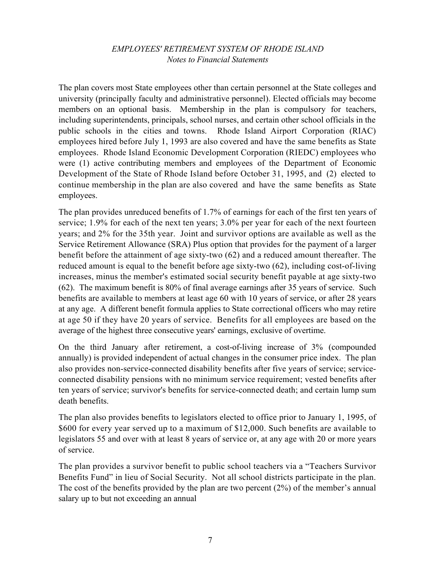The plan covers most State employees other than certain personnel at the State colleges and university (principally faculty and administrative personnel). Elected officials may become members on an optional basis. Membership in the plan is compulsory for teachers, including superintendents, principals, school nurses, and certain other school officials in the public schools in the cities and towns. Rhode Island Airport Corporation (RIAC) employees hired before July 1, 1993 are also covered and have the same benefits as State employees. Rhode Island Economic Development Corporation (RIEDC) employees who were (1) active contributing members and employees of the Department of Economic Development of the State of Rhode Island before October 31, 1995, and (2) elected to continue membership in the plan are also covered and have the same benefits as State employees.

The plan provides unreduced benefits of 1.7% of earnings for each of the first ten years of service; 1.9% for each of the next ten years; 3.0% per year for each of the next fourteen years; and 2% for the 35th year. Joint and survivor options are available as well as the Service Retirement Allowance (SRA) Plus option that provides for the payment of a larger benefit before the attainment of age sixty-two (62) and a reduced amount thereafter. The reduced amount is equal to the benefit before age sixty-two (62), including cost-of-living increases, minus the member's estimated social security benefit payable at age sixty-two (62). The maximum benefit is 80% of final average earnings after 35 years of service. Such benefits are available to members at least age 60 with 10 years of service, or after 28 years at any age. A different benefit formula applies to State correctional officers who may retire at age 50 if they have 20 years of service. Benefits for all employees are based on the average of the highest three consecutive years' earnings, exclusive of overtime.

On the third January after retirement, a cost-of-living increase of 3% (compounded annually) is provided independent of actual changes in the consumer price index. The plan also provides non-service-connected disability benefits after five years of service; serviceconnected disability pensions with no minimum service requirement; vested benefits after ten years of service; survivor's benefits for service-connected death; and certain lump sum death benefits.

The plan also provides benefits to legislators elected to office prior to January 1, 1995, of \$600 for every year served up to a maximum of \$12,000. Such benefits are available to legislators 55 and over with at least 8 years of service or, at any age with 20 or more years of service.

The plan provides a survivor benefit to public school teachers via a "Teachers Survivor Benefits Fund" in lieu of Social Security. Not all school districts participate in the plan. The cost of the benefits provided by the plan are two percent (2%) of the member's annual salary up to but not exceeding an annual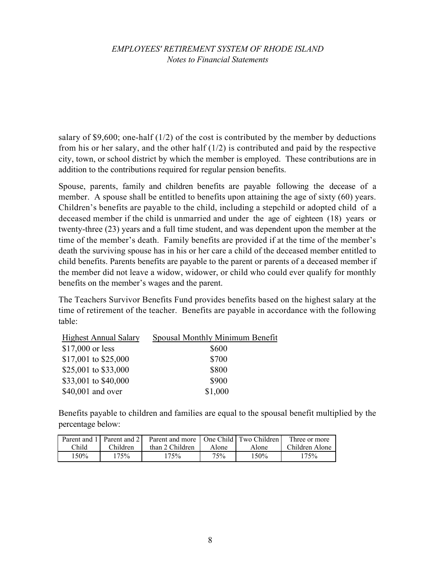salary of \$9,600; one-half  $(1/2)$  of the cost is contributed by the member by deductions from his or her salary, and the other half (1/2) is contributed and paid by the respective city, town, or school district by which the member is employed. These contributions are in addition to the contributions required for regular pension benefits.

Spouse, parents, family and children benefits are payable following the decease of a member. A spouse shall be entitled to benefits upon attaining the age of sixty (60) years. Children's benefits are payable to the child, including a stepchild or adopted child of a deceased member if the child is unmarried and under the age of eighteen (18) years or twenty-three (23) years and a full time student, and was dependent upon the member at the time of the member's death. Family benefits are provided if at the time of the member's death the surviving spouse has in his or her care a child of the deceased member entitled to child benefits. Parents benefits are payable to the parent or parents of a deceased member if the member did not leave a widow, widower, or child who could ever qualify for monthly benefits on the member's wages and the parent.

The Teachers Survivor Benefits Fund provides benefits based on the highest salary at the time of retirement of the teacher. Benefits are payable in accordance with the following table:

| <b>Highest Annual Salary</b> | Spousal Monthly Minimum Benefit |
|------------------------------|---------------------------------|
| $$17,000$ or less            | \$600                           |
| \$17,001 to \$25,000         | \$700                           |
| \$25,001 to \$33,000         | \$800                           |
| \$33,001 to \$40,000         | \$900                           |
| \$40,001 and over            | \$1,000                         |

Benefits payable to children and families are equal to the spousal benefit multiplied by the percentage below:

|       |          | Parent and 1   Parent and 2   Parent and more   One Child   Two Children |       |         | Three or more  |
|-------|----------|--------------------------------------------------------------------------|-------|---------|----------------|
| Child | Children | than 2 Children                                                          | Alone | Alone   | Children Alone |
| 150%  | 175%     | 175%                                                                     | 75%   | $150\%$ | 175%           |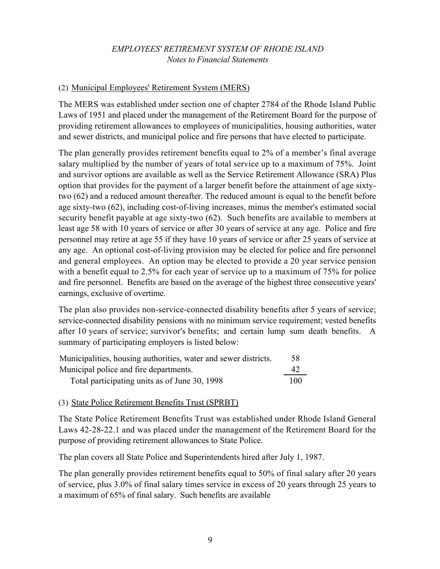#### (2) Municipal Employees' Retirement System (MERS)

The MERS was established under section one of chapter 2784 of the Rhode Island Public Laws of 1951 and placed under the management of the Retirement Board for the purpose of providing retirement allowances to employees of municipalities, housing authorities, water and sewer districts, and municipal police and fire persons that have elected to participate.

The plan generally provides retirement benefits equal to 2% of a member's final average salary multiplied by the number of years of total service up to a maximum of 75%. Joint and survivor options are available as well as the Service Retirement Allowance (SRA) Plus option that provides for the payment of a larger benefit before the attainment of age sixtytwo (62) and a reduced amount thereafter. The reduced amount is equal to the benefit before age sixty-two (62), including cost-of-living increases, minus the member's estimated social security benefit payable at age sixty-two (62). Such benefits are available to members at least age 58 with 10 years of service or after 30 years of service at any age. Police and fire personnel may retire at age 55 if they have 10 years of service or after 25 years of service at any age. An optional cost-of-living provision may be elected for police and fire personnel and general employees. An option may be elected to provide a 20 year service pension with a benefit equal to 2.5% for each year of service up to a maximum of 75% for police and fire personnel. Benefits are based on the average of the highest three consecutive years' earnings, exclusive of overtime.

The plan also provides non-service-connected disability benefits after 5 years of service; service-connected disability pensions with no minimum service requirement; vested benefits after 10 years of service; survivor's benefits; and certain lump sum death benefits. A summary of participating employers is listed below:

| Municipalities, housing authorities, water and sewer districts. | 58  |
|-----------------------------------------------------------------|-----|
| Municipal police and fire departments.                          | 42  |
| Total participating units as of June 30, 1998                   | 100 |

#### (3) State Police Retirement Benefits Trust (SPRBT)

The State Police Retirement Benefits Trust was established under Rhode Island General Laws 42-28-22.1 and was placed under the management of the Retirement Board for the purpose of providing retirement allowances to State Police.

The plan covers all State Police and Superintendents hired after July 1, 1987.

The plan generally provides retirement benefits equal to 50% of final salary after 20 years of service, plus 3.0% of final salary times service in excess of 20 years through 25 years to a maximum of 65% of final salary. Such benefits are available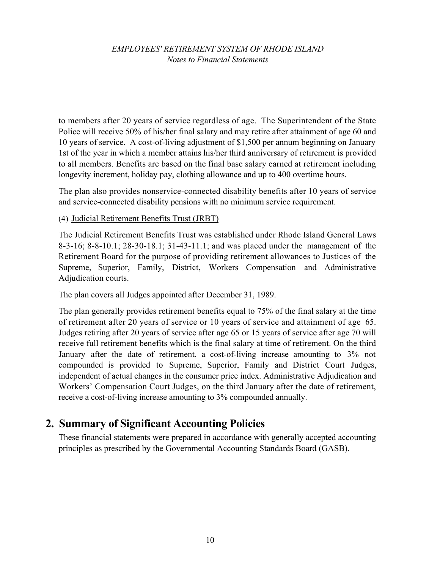to members after 20 years of service regardless of age. The Superintendent of the State Police will receive 50% of his/her final salary and may retire after attainment of age 60 and 10 years of service. A cost-of-living adjustment of \$1,500 per annum beginning on January 1st of the year in which a member attains his/her third anniversary of retirement is provided to all members. Benefits are based on the final base salary earned at retirement including longevity increment, holiday pay, clothing allowance and up to 400 overtime hours.

The plan also provides nonservice-connected disability benefits after 10 years of service and service-connected disability pensions with no minimum service requirement.

#### (4) Judicial Retirement Benefits Trust (JRBT)

The Judicial Retirement Benefits Trust was established under Rhode Island General Laws 8-3-16; 8-8-10.1; 28-30-18.1; 31-43-11.1; and was placed under the management of the Retirement Board for the purpose of providing retirement allowances to Justices of the Supreme, Superior, Family, District, Workers Compensation and Administrative Adjudication courts.

The plan covers all Judges appointed after December 31, 1989.

The plan generally provides retirement benefits equal to 75% of the final salary at the time of retirement after 20 years of service or 10 years of service and attainment of age 65. Judges retiring after 20 years of service after age 65 or 15 years of service after age 70 will receive full retirement benefits which is the final salary at time of retirement. On the third January after the date of retirement, a cost-of-living increase amounting to 3% not compounded is provided to Supreme, Superior, Family and District Court Judges, independent of actual changes in the consumer price index. Administrative Adjudication and Workers' Compensation Court Judges, on the third January after the date of retirement, receive a cost-of-living increase amounting to 3% compounded annually.

### **2. Summary of Significant Accounting Policies**

These financial statements were prepared in accordance with generally accepted accounting principles as prescribed by the Governmental Accounting Standards Board (GASB).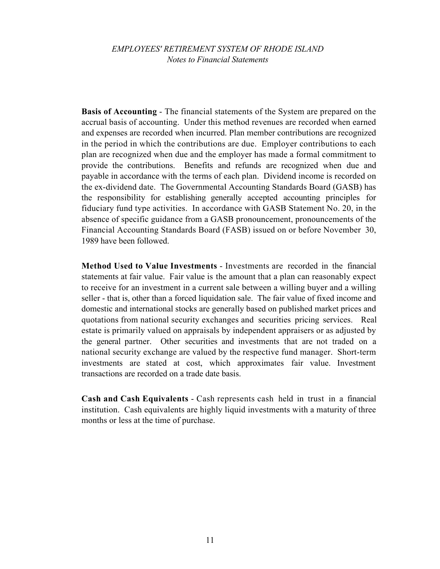**Basis of Accounting** - The financial statements of the System are prepared on the accrual basis of accounting. Under this method revenues are recorded when earned and expenses are recorded when incurred. Plan member contributions are recognized in the period in which the contributions are due. Employer contributions to each plan are recognized when due and the employer has made a formal commitment to provide the contributions. Benefits and refunds are recognized when due and payable in accordance with the terms of each plan. Dividend income is recorded on the ex-dividend date. The Governmental Accounting Standards Board (GASB) has the responsibility for establishing generally accepted accounting principles for fiduciary fund type activities. In accordance with GASB Statement No. 20, in the absence of specific guidance from a GASB pronouncement, pronouncements of the Financial Accounting Standards Board (FASB) issued on or before November 30, 1989 have been followed.

**Method Used to Value Investments** - Investments are recorded in the financial statements at fair value. Fair value is the amount that a plan can reasonably expect to receive for an investment in a current sale between a willing buyer and a willing seller - that is, other than a forced liquidation sale. The fair value of fixed income and domestic and international stocks are generally based on published market prices and quotations from national security exchanges and securities pricing services. Real estate is primarily valued on appraisals by independent appraisers or as adjusted by the general partner. Other securities and investments that are not traded on a national security exchange are valued by the respective fund manager. Short-term investments are stated at cost, which approximates fair value. Investment transactions are recorded on a trade date basis.

**Cash and Cash Equivalents** - Cash represents cash held in trust in a financial institution. Cash equivalents are highly liquid investments with a maturity of three months or less at the time of purchase.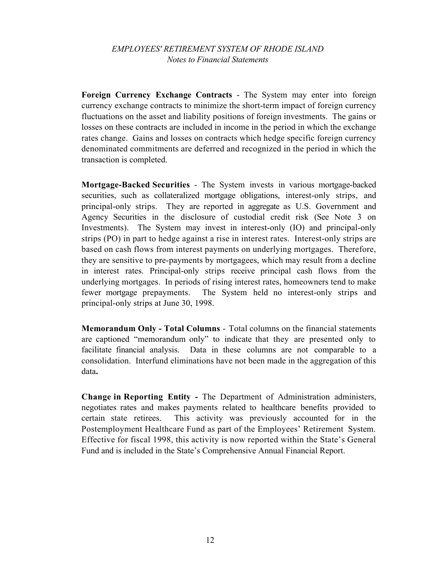**Foreign Currency Exchange Contracts** - The System may enter into foreign currency exchange contracts to minimize the short-term impact of foreign currency fluctuations on the asset and liability positions of foreign investments. The gains or losses on these contracts are included in income in the period in which the exchange rates change. Gains and losses on contracts which hedge specific foreign currency denominated commitments are deferred and recognized in the period in which the transaction is completed.

**Mortgage-Backed Securities** - The System invests in various mortgage-backed securities, such as collateralized mortgage obligations, interest-only strips, and principal-only strips. They are reported in aggregate as U.S. Government and Agency Securities in the disclosure of custodial credit risk (See Note 3 on Investments). The System may invest in interest-only (IO) and principal-only strips (PO) in part to hedge against a rise in interest rates. Interest-only strips are based on cash flows from interest payments on underlying mortgages. Therefore, they are sensitive to pre-payments by mortgagees, which may result from a decline in interest rates. Principal-only strips receive principal cash flows from the underlying mortgages. In periods of rising interest rates, homeowners tend to make fewer mortgage prepayments. The System held no interest-only strips and principal-only strips at June 30, 1998.

**Memorandum Only - Total Columns** - Total columns on the financial statements are captioned "memorandum only" to indicate that they are presented only to facilitate financial analysis. Data in these columns are not comparable to a consolidation. Interfund eliminations have not been made in the aggregation of this data**.**

**Change in Reporting Entity -** The Department of Administration administers, negotiates rates and makes payments related to healthcare benefits provided to certain state retirees. This activity was previously accounted for in the Postemployment Healthcare Fund as part of the Employees' Retirement System. Effective for fiscal 1998, this activity is now reported within the State's General Fund and is included in the State's Comprehensive Annual Financial Report.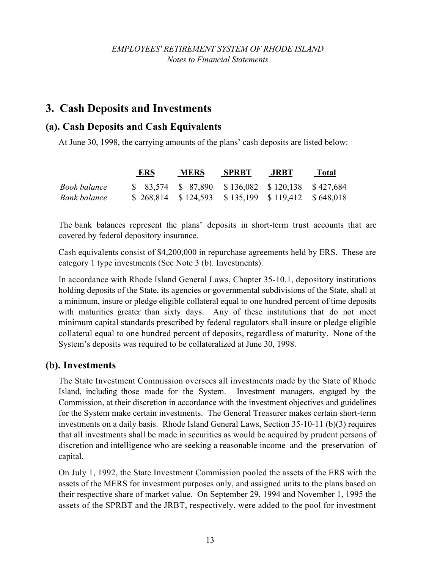# **3. Cash Deposits and Investments**

### **(a). Cash Deposits and Cash Equivalents**

At June 30, 1998, the carrying amounts of the plans' cash deposits are listed below:

|              | <b>ERS</b> | <b>MERS</b>                                            | <b>SPRBT</b> | JRBT. | <b>Total</b> |
|--------------|------------|--------------------------------------------------------|--------------|-------|--------------|
| Book balance |            | $$83,574$ $$87,890$ $$136,082$ $$120,138$ $$427,684$   |              |       |              |
| Bank balance |            | $$268,814$ $$124,593$ $$135,199$ $$119,412$ $$648,018$ |              |       |              |

The bank balances represent the plans' deposits in short-term trust accounts that are covered by federal depository insurance.

Cash equivalents consist of \$4,200,000 in repurchase agreements held by ERS. These are category 1 type investments (See Note 3 (b). Investments).

In accordance with Rhode Island General Laws, Chapter 35-10.1, depository institutions holding deposits of the State, its agencies or governmental subdivisions of the State, shall at a minimum, insure or pledge eligible collateral equal to one hundred percent of time deposits with maturities greater than sixty days. Any of these institutions that do not meet minimum capital standards prescribed by federal regulators shall insure or pledge eligible collateral equal to one hundred percent of deposits, regardless of maturity. None of the System's deposits was required to be collateralized at June 30, 1998.

### **(b). Investments**

The State Investment Commission oversees all investments made by the State of Rhode Island, including those made for the System. Investment managers, engaged by the Commission, at their discretion in accordance with the investment objectives and guidelines for the System make certain investments. The General Treasurer makes certain short-term investments on a daily basis. Rhode Island General Laws, Section 35-10-11 (b)(3) requires that all investments shall be made in securities as would be acquired by prudent persons of discretion and intelligence who are seeking a reasonable income and the preservation of capital.

On July 1, 1992, the State Investment Commission pooled the assets of the ERS with the assets of the MERS for investment purposes only, and assigned units to the plans based on their respective share of market value. On September 29, 1994 and November 1, 1995 the assets of the SPRBT and the JRBT, respectively, were added to the pool for investment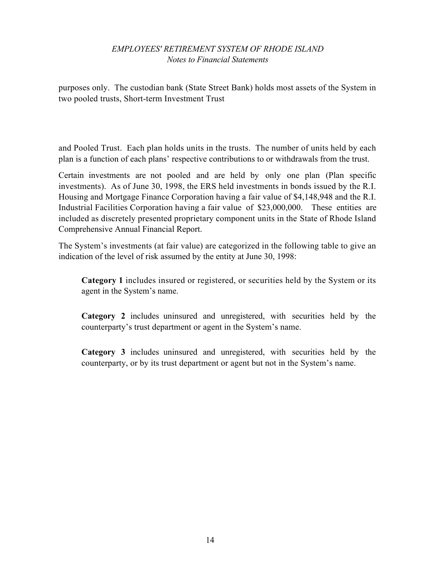purposes only. The custodian bank (State Street Bank) holds most assets of the System in two pooled trusts, Short-term Investment Trust

and Pooled Trust. Each plan holds units in the trusts. The number of units held by each plan is a function of each plans' respective contributions to or withdrawals from the trust.

Certain investments are not pooled and are held by only one plan (Plan specific investments). As of June 30, 1998, the ERS held investments in bonds issued by the R.I. Housing and Mortgage Finance Corporation having a fair value of \$4,148,948 and the R.I. Industrial Facilities Corporation having a fair value of \$23,000,000. These entities are included as discretely presented proprietary component units in the State of Rhode Island Comprehensive Annual Financial Report.

The System's investments (at fair value) are categorized in the following table to give an indication of the level of risk assumed by the entity at June 30, 1998:

**Category 1** includes insured or registered, or securities held by the System or its agent in the System's name.

**Category 2** includes uninsured and unregistered, with securities held by the counterparty's trust department or agent in the System's name.

**Category 3** includes uninsured and unregistered, with securities held by the counterparty, or by its trust department or agent but not in the System's name.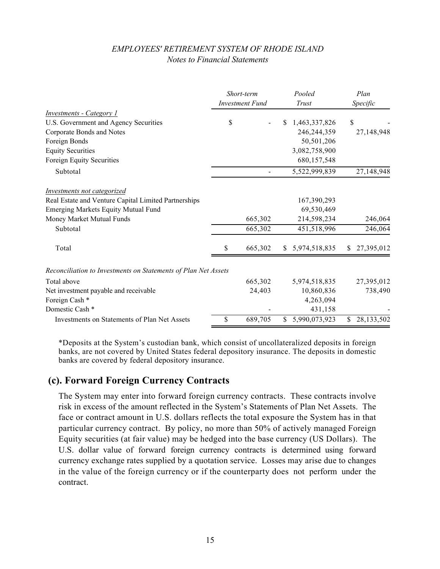|                                                                |    | Short-term<br><b>Investment Fund</b> |              | Pooled<br>Trust |              | Plan<br>Specific |  |
|----------------------------------------------------------------|----|--------------------------------------|--------------|-----------------|--------------|------------------|--|
| <i>Investments - Category 1</i>                                |    |                                      |              |                 |              |                  |  |
| U.S. Government and Agency Securities                          | \$ |                                      |              | 1,463,337,826   | \$           |                  |  |
| Corporate Bonds and Notes                                      |    |                                      |              | 246,244,359     |              | 27,148,948       |  |
| Foreign Bonds                                                  |    |                                      |              | 50,501,206      |              |                  |  |
| <b>Equity Securities</b>                                       |    |                                      |              | 3,082,758,900   |              |                  |  |
| Foreign Equity Securities                                      |    |                                      |              | 680,157,548     |              |                  |  |
| Subtotal                                                       |    |                                      |              | 5,522,999,839   |              | 27,148,948       |  |
| Investments not categorized                                    |    |                                      |              |                 |              |                  |  |
| Real Estate and Venture Capital Limited Partnerships           |    |                                      |              | 167,390,293     |              |                  |  |
| <b>Emerging Markets Equity Mutual Fund</b>                     |    |                                      |              | 69,530,469      |              |                  |  |
| Money Market Mutual Funds                                      |    | 665,302                              |              | 214,598,234     |              | 246,064          |  |
| Subtotal                                                       |    | 665,302                              |              | 451,518,996     |              | 246,064          |  |
| Total                                                          | \$ | 665,302                              | <sup>S</sup> | 5,974,518,835   | <sup>S</sup> | 27,395,012       |  |
| Reconciliation to Investments on Statements of Plan Net Assets |    |                                      |              |                 |              |                  |  |
| Total above                                                    |    | 665,302                              |              | 5,974,518,835   |              | 27,395,012       |  |
| Net investment payable and receivable                          |    | 24,403                               |              | 10,860,836      |              | 738,490          |  |
| Foreign Cash *                                                 |    |                                      |              | 4,263,094       |              |                  |  |
| Domestic Cash *                                                |    |                                      |              | 431,158         |              |                  |  |
| Investments on Statements of Plan Net Assets                   | \$ | 689,705                              | \$           | 5,990,073,923   | S            | 28,133,502       |  |

\*Deposits at the System's custodian bank, which consist of uncollateralized deposits in foreign banks, are not covered by United States federal depository insurance. The deposits in domestic banks are covered by federal depository insurance.

### **(c). Forward Foreign Currency Contracts**

The System may enter into forward foreign currency contracts. These contracts involve risk in excess of the amount reflected in the System's Statements of Plan Net Assets. The face or contract amount in U.S. dollars reflects the total exposure the System has in that particular currency contract. By policy, no more than 50% of actively managed Foreign Equity securities (at fair value) may be hedged into the base currency (US Dollars). The U.S. dollar value of forward foreign currency contracts is determined using forward currency exchange rates supplied by a quotation service. Losses may arise due to changes in the value of the foreign currency or if the counterparty does not perform under the contract.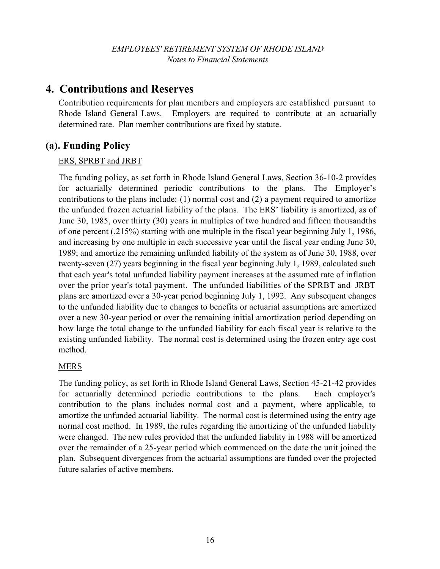# **4. Contributions and Reserves**

Contribution requirements for plan members and employers are established pursuant to Rhode Island General Laws. Employers are required to contribute at an actuarially determined rate. Plan member contributions are fixed by statute.

### **(a). Funding Policy**

### ERS, SPRBT and JRBT

The funding policy, as set forth in Rhode Island General Laws, Section 36-10-2 provides for actuarially determined periodic contributions to the plans. The Employer's contributions to the plans include: (1) normal cost and (2) a payment required to amortize the unfunded frozen actuarial liability of the plans. The ERS' liability is amortized, as of June 30, 1985, over thirty (30) years in multiples of two hundred and fifteen thousandths of one percent (.215%) starting with one multiple in the fiscal year beginning July 1, 1986, and increasing by one multiple in each successive year until the fiscal year ending June 30, 1989; and amortize the remaining unfunded liability of the system as of June 30, 1988, over twenty-seven (27) years beginning in the fiscal year beginning July 1, 1989, calculated such that each year's total unfunded liability payment increases at the assumed rate of inflation over the prior year's total payment. The unfunded liabilities of the SPRBT and JRBT plans are amortized over a 30-year period beginning July 1, 1992. Any subsequent changes to the unfunded liability due to changes to benefits or actuarial assumptions are amortized over a new 30-year period or over the remaining initial amortization period depending on how large the total change to the unfunded liability for each fiscal year is relative to the existing unfunded liability. The normal cost is determined using the frozen entry age cost method.

#### MERS

The funding policy, as set forth in Rhode Island General Laws, Section 45-21-42 provides for actuarially determined periodic contributions to the plans. Each employer's contribution to the plans includes normal cost and a payment, where applicable, to amortize the unfunded actuarial liability. The normal cost is determined using the entry age normal cost method. In 1989, the rules regarding the amortizing of the unfunded liability were changed. The new rules provided that the unfunded liability in 1988 will be amortized over the remainder of a 25-year period which commenced on the date the unit joined the plan. Subsequent divergences from the actuarial assumptions are funded over the projected future salaries of active members.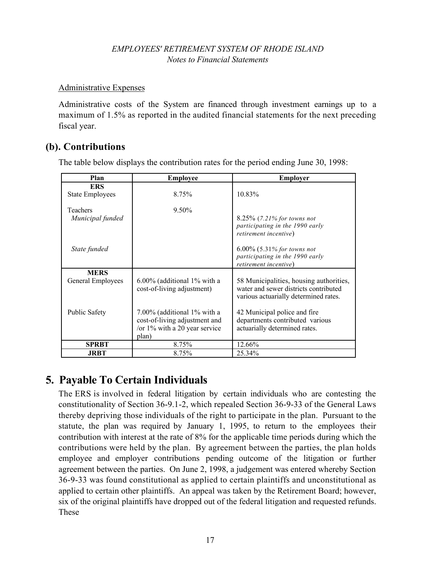#### Administrative Expenses

Administrative costs of the System are financed through investment earnings up to a maximum of 1.5% as reported in the audited financial statements for the next preceding fiscal year.

### **(b). Contributions**

The table below displays the contribution rates for the period ending June 30, 1998:

| Plan                   | <b>Employee</b>                                                                                           | <b>Employer</b>                                                                                                           |
|------------------------|-----------------------------------------------------------------------------------------------------------|---------------------------------------------------------------------------------------------------------------------------|
| <b>ERS</b>             |                                                                                                           |                                                                                                                           |
| <b>State Employees</b> | 8.75%                                                                                                     | 10.83%                                                                                                                    |
| Teachers               | 9.50%                                                                                                     |                                                                                                                           |
| Municipal funded       |                                                                                                           | 8.25% (7.21% for towns not<br>participating in the 1990 early<br>retirement incentive)                                    |
| State funded           |                                                                                                           | $6.00\%$ (5.31% for towns not<br>participating in the 1990 early<br>retirement incentive)                                 |
| <b>MERS</b>            |                                                                                                           |                                                                                                                           |
| General Employees      | $6.00\%$ (additional 1% with a<br>cost-of-living adjustment)                                              | 58 Municipalities, housing authorities,<br>water and sewer districts contributed<br>various actuarially determined rates. |
| <b>Public Safety</b>   | 7.00% (additional 1% with a<br>cost-of-living adjustment and<br>/or $1\%$ with a 20 year service<br>plan) | 42 Municipal police and fire<br>departments contributed various<br>actuarially determined rates.                          |
| <b>SPRBT</b>           | 8.75%                                                                                                     | 12.66%                                                                                                                    |
| <b>JRBT</b>            | 8.75%                                                                                                     | 25.34%                                                                                                                    |

# **5. Payable To Certain Individuals**

The ERS is involved in federal litigation by certain individuals who are contesting the constitutionality of Section 36-9.1-2, which repealed Section 36-9-33 of the General Laws thereby depriving those individuals of the right to participate in the plan. Pursuant to the statute, the plan was required by January 1, 1995, to return to the employees their contribution with interest at the rate of 8% for the applicable time periods during which the contributions were held by the plan. By agreement between the parties, the plan holds employee and employer contributions pending outcome of the litigation or further agreement between the parties. On June 2, 1998, a judgement was entered whereby Section 36-9-33 was found constitutional as applied to certain plaintiffs and unconstitutional as applied to certain other plaintiffs. An appeal was taken by the Retirement Board; however, six of the original plaintiffs have dropped out of the federal litigation and requested refunds. These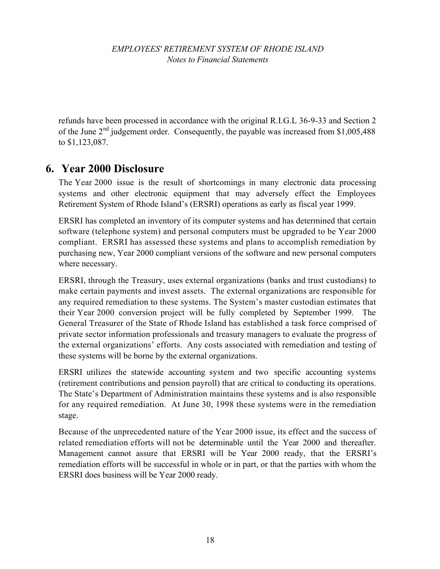refunds have been processed in accordance with the original R.I.G.L 36-9-33 and Section 2 of the June  $2<sup>nd</sup>$  judgement order. Consequently, the payable was increased from \$1,005,488 to \$1,123,087.

# **6. Year 2000 Disclosure**

The Year 2000 issue is the result of shortcomings in many electronic data processing systems and other electronic equipment that may adversely effect the Employees Retirement System of Rhode Island's (ERSRI) operations as early as fiscal year 1999.

ERSRI has completed an inventory of its computer systems and has determined that certain software (telephone system) and personal computers must be upgraded to be Year 2000 compliant. ERSRI has assessed these systems and plans to accomplish remediation by purchasing new, Year 2000 compliant versions of the software and new personal computers where necessary.

ERSRI, through the Treasury, uses external organizations (banks and trust custodians) to make certain payments and invest assets. The external organizations are responsible for any required remediation to these systems. The System's master custodian estimates that their Year 2000 conversion project will be fully completed by September 1999. The General Treasurer of the State of Rhode Island has established a task force comprised of private sector information professionals and treasury managers to evaluate the progress of the external organizations' efforts. Any costs associated with remediation and testing of these systems will be borne by the external organizations.

ERSRI utilizes the statewide accounting system and two specific accounting systems (retirement contributions and pension payroll) that are critical to conducting its operations. The State's Department of Administration maintains these systems and is also responsible for any required remediation. At June 30, 1998 these systems were in the remediation stage.

Because of the unprecedented nature of the Year 2000 issue, its effect and the success of related remediation efforts will not be determinable until the Year 2000 and thereafter. Management cannot assure that ERSRI will be Year 2000 ready, that the ERSRI's remediation efforts will be successful in whole or in part, or that the parties with whom the ERSRI does business will be Year 2000 ready.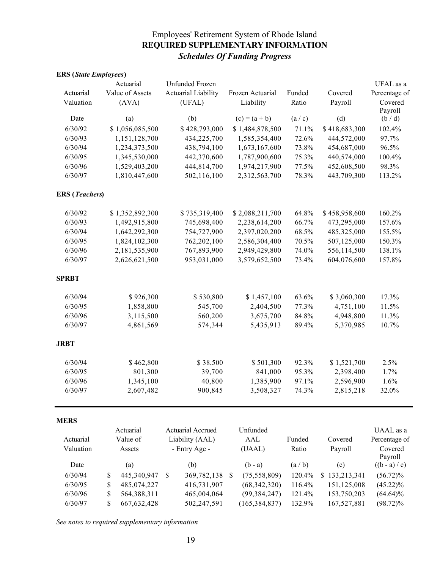### Employees' Retirement System of Rhode Island **REQUIRED SUPPLEMENTARY INFORMATION** *Schedules Of Funding Progress*

| <b>ERS</b> ( <i>State Employees</i> ) |                     |                            |               |                                   |        |               |                 |
|---------------------------------------|---------------------|----------------------------|---------------|-----------------------------------|--------|---------------|-----------------|
|                                       | Actuarial           | <b>Unfunded Frozen</b>     |               |                                   |        |               | UFAL as a       |
| Actuarial                             | Value of Assets     | <b>Actuarial Liability</b> |               | Frozen Actuarial                  | Funded | Covered       | Percentage of   |
| Valuation                             | (AVA)               | (UFAL)                     |               | Liability                         | Ratio  | Payroll       | Covered         |
|                                       |                     |                            |               |                                   |        |               | Payroll         |
| Date                                  | (a)                 | (b)                        |               | <u>(c) = <math>(a + b)</math></u> | (a/c)  | (d)           | (b/d)           |
| 6/30/92                               | \$1,056,085,500     | \$428,793,000              |               | \$1,484,878,500                   | 71.1%  | \$418,683,300 | 102.4%          |
| 6/30/93                               | 1,151,128,700       | 434,225,700                |               | 1,585,354,400                     | 72.6%  | 444,572,000   | 97.7%           |
| 6/30/94                               | 1,234,373,500       | 438,794,100                |               | 1,673,167,600                     | 73.8%  | 454,687,000   | 96.5%           |
| 6/30/95                               | 1,345,530,000       | 442,370,600                |               | 1,787,900,600                     | 75.3%  | 440,574,000   | 100.4%          |
| 6/30/96                               | 1,529,403,200       | 444,814,700                |               | 1,974,217,900                     | 77.5%  | 452,608,500   | 98.3%           |
| 6/30/97                               | 1,810,447,600       | 502,116,100                |               | 2,312,563,700                     | 78.3%  | 443,709,300   | 113.2%          |
| <b>ERS</b> ( <i>Teachers</i> )        |                     |                            |               |                                   |        |               |                 |
| 6/30/92                               | \$1,352,892,300     | \$735,319,400              |               | \$2,088,211,700                   | 64.8%  | \$458,958,600 | 160.2%          |
| 6/30/93                               | 1,492,915,800       | 745,698,400                |               | 2,238,614,200                     | 66.7%  | 473,295,000   | 157.6%          |
| 6/30/94                               | 1,642,292,300       | 754,727,900                |               | 2,397,020,200                     | 68.5%  | 485,325,000   | 155.5%          |
| 6/30/95                               | 1,824,102,300       | 762,202,100                |               | 2,586,304,400                     | 70.5%  | 507,125,000   | 150.3%          |
| 6/30/96                               | 2,181,535,900       | 767,893,900                |               | 2,949,429,800                     | 74.0%  | 556,114,500   | 138.1%          |
| 6/30/97                               | 2,626,621,500       | 953,031,000                |               | 3,579,652,500                     | 73.4%  | 604,076,600   | 157.8%          |
| <b>SPRBT</b>                          |                     |                            |               |                                   |        |               |                 |
| 6/30/94                               | \$926,300           | \$530,800                  |               | \$1,457,100                       | 63.6%  | \$3,060,300   | 17.3%           |
| 6/30/95                               | 1,858,800           | 545,700                    |               | 2,404,500                         | 77.3%  | 4,751,100     | 11.5%           |
| 6/30/96                               | 3,115,500           | 560,200                    |               | 3,675,700                         | 84.8%  | 4,948,800     | 11.3%           |
| 6/30/97                               | 4,861,569           | 574,344                    |               | 5,435,913                         | 89.4%  | 5,370,985     | 10.7%           |
| <b>JRBT</b>                           |                     |                            |               |                                   |        |               |                 |
| 6/30/94                               | \$462,800           | \$38,500                   |               | \$501,300                         | 92.3%  | \$1,521,700   | 2.5%            |
| 6/30/95                               | 801,300             | 39,700                     |               | 841,000                           | 95.3%  | 2,398,400     | 1.7%            |
| 6/30/96                               | 1,345,100           | 40,800                     |               | 1,385,900                         | 97.1%  | 2,596,900     | 1.6%            |
| 6/30/97                               | 2,607,482           | 900,845                    |               | 3,508,327                         | 74.3%  | 2,815,218     | 32.0%           |
| <b>MERS</b>                           |                     |                            |               |                                   |        |               |                 |
|                                       | Actuarial           | Actuarial Accrued          |               | Unfunded                          |        |               | UAAL as a       |
| Actuarial                             | Value of            | Liability (AAL)            |               | AAL                               | Funded | Covered       | Percentage of   |
| Valuation                             | Assets              | - Entry Age -              |               | (UAAL)                            | Ratio  | Payroll       | Covered         |
|                                       |                     |                            |               |                                   |        |               | Payroll         |
| Date                                  | (a)                 | (b)                        |               | $(b - a)$                         | (a/b)  | (c)           | $((b - a) / c)$ |
| 6/30/94                               | \$<br>445,340,947   | \$<br>369,782,138          | $\mathcal{S}$ | (75, 558, 809)                    | 120.4% | \$133,213,341 | $(56.72)\%$     |
| 6/30/95                               | \$<br>485,074,227   | 416,731,907                |               | (68, 342, 320)                    | 116.4% | 151,125,008   | $(45.22)\%$     |
| 6/30/96                               | \$<br>564,388,311   | 465,004,064                |               | (99, 384, 247)                    | 121.4% | 153,750,203   | $(64.64)\%$     |
| 6/30/97                               | \$<br>667, 632, 428 | 502,247,591                |               | (165, 384, 837)                   | 132.9% | 167,527,881   | $(98.72)\%$     |

*See notes to required supplementary information*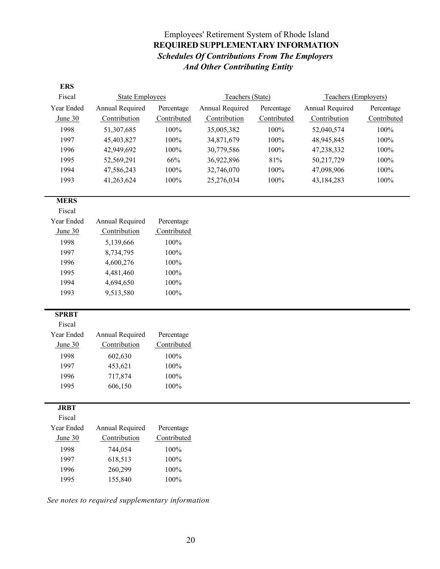### Employees' Retirement System of Rhode Island **REQUIRED SUPPLEMENTARY INFORMATION**  *Schedules Of Contributions From The Employers And Other Contributing Entity*

| <b>ERS</b>           |                        |             |                  |             |                      |             |  |
|----------------------|------------------------|-------------|------------------|-------------|----------------------|-------------|--|
| Fiscal               | <b>State Employees</b> |             | Teachers (State) |             | Teachers (Employers) |             |  |
| Year Ended           | Annual Required        | Percentage  | Annual Required  | Percentage  | Annual Required      | Percentage  |  |
| June $30$            | Contribution           | Contributed | Contribution     | Contributed | Contribution         | Contributed |  |
| 1998                 | 51,307,685             | 100%        | 35,005,382       | 100%        | 52,040,574           | 100%        |  |
| 1997                 | 45,403,827             | 100%        | 34,871,679       | 100%        | 48,945,845           | 100%        |  |
| 1996                 | 42,949,692             | 100%        | 30,779,586       | 100%        | 47,238,332           | 100%        |  |
| 1995                 | 52,569,291             | 66%         | 36,922,896       | $81\%$      | 50,217,729           | 100%        |  |
| 1994                 | 47,586,243             | $100\%$     | 32,746,070       | 100%        | 47,098,906           | 100%        |  |
| 1993                 | 41,263,624             | 100%        | 25,276,034       | 100%        | 43,184,283           | 100%        |  |
|                      |                        |             |                  |             |                      |             |  |
| <b>MERS</b>          |                        |             |                  |             |                      |             |  |
| Fiscal               |                        |             |                  |             |                      |             |  |
| Year Ended           | Annual Required        | Percentage  |                  |             |                      |             |  |
| June 30              | Contribution           | Contributed |                  |             |                      |             |  |
| 1998                 | 5,139,666              | 100%        |                  |             |                      |             |  |
| 1997                 | 8,734,795              | 100%        |                  |             |                      |             |  |
| 1996                 | 4,600,276              | 100%        |                  |             |                      |             |  |
| 1995                 | 4,481,460              | $100\%$     |                  |             |                      |             |  |
| 1994                 | 4,694,650              | 100%        |                  |             |                      |             |  |
| 1993                 | 9,513,580              | 100%        |                  |             |                      |             |  |
|                      |                        |             |                  |             |                      |             |  |
| <b>SPRBT</b>         |                        |             |                  |             |                      |             |  |
| Fiscal               |                        |             |                  |             |                      |             |  |
| Year Ended           | Annual Required        | Percentage  |                  |             |                      |             |  |
| June 30              | Contribution           | Contributed |                  |             |                      |             |  |
| 1998                 | 602,630                | 100%        |                  |             |                      |             |  |
| 1997                 | 453,621                | 100%        |                  |             |                      |             |  |
| 1996                 | 717,874                | $100\%$     |                  |             |                      |             |  |
| 1995                 | 606,150                | 100%        |                  |             |                      |             |  |
|                      |                        |             |                  |             |                      |             |  |
| <b>JRBT</b>          |                        |             |                  |             |                      |             |  |
| Fiscal<br>Year Ended |                        |             |                  |             |                      |             |  |
|                      | Annual Required        | Percentage  |                  |             |                      |             |  |
| June $30$            | Contribution           | Contributed |                  |             |                      |             |  |
| 1998                 | 744,054                | $100\%$     |                  |             |                      |             |  |
| 1997                 | 618,513                | 100%        |                  |             |                      |             |  |
| 1996                 | 260,299                | 100%        |                  |             |                      |             |  |
| 1995                 | 155,840                | $100\%$     |                  |             |                      |             |  |

*See notes to required supplementary information*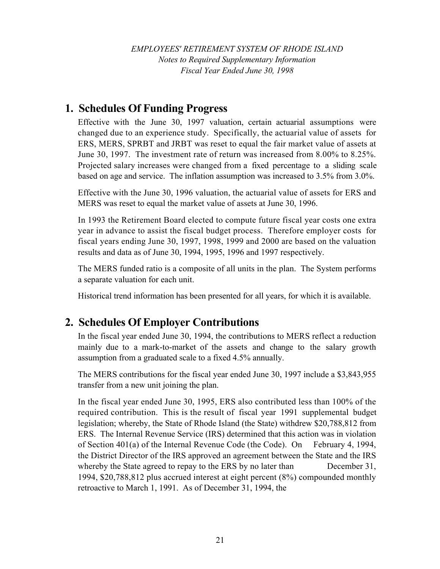*EMPLOYEES' RETIREMENT SYSTEM OF RHODE ISLAND Notes to Required Supplementary Information Fiscal Year Ended June 30, 1998*

### **1. Schedules Of Funding Progress**

Effective with the June 30, 1997 valuation, certain actuarial assumptions were changed due to an experience study. Specifically, the actuarial value of assets for ERS, MERS, SPRBT and JRBT was reset to equal the fair market value of assets at June 30, 1997. The investment rate of return was increased from 8.00% to 8.25%. Projected salary increases were changed from a fixed percentage to a sliding scale based on age and service. The inflation assumption was increased to 3.5% from 3.0%.

Effective with the June 30, 1996 valuation, the actuarial value of assets for ERS and MERS was reset to equal the market value of assets at June 30, 1996.

In 1993 the Retirement Board elected to compute future fiscal year costs one extra year in advance to assist the fiscal budget process. Therefore employer costs for fiscal years ending June 30, 1997, 1998, 1999 and 2000 are based on the valuation results and data as of June 30, 1994, 1995, 1996 and 1997 respectively.

The MERS funded ratio is a composite of all units in the plan. The System performs a separate valuation for each unit.

Historical trend information has been presented for all years, for which it is available.

# **2. Schedules Of Employer Contributions**

In the fiscal year ended June 30, 1994, the contributions to MERS reflect a reduction mainly due to a mark-to-market of the assets and change to the salary growth assumption from a graduated scale to a fixed 4.5% annually.

The MERS contributions for the fiscal year ended June 30, 1997 include a \$3,843,955 transfer from a new unit joining the plan.

In the fiscal year ended June 30, 1995, ERS also contributed less than 100% of the required contribution. This is the result of fiscal year 1991 supplemental budget legislation; whereby, the State of Rhode Island (the State) withdrew \$20,788,812 from ERS. The Internal Revenue Service (IRS) determined that this action was in violation of Section 401(a) of the Internal Revenue Code (the Code). On February 4, 1994, the District Director of the IRS approved an agreement between the State and the IRS whereby the State agreed to repay to the ERS by no later than December 31, 1994, \$20,788,812 plus accrued interest at eight percent (8%) compounded monthly retroactive to March 1, 1991. As of December 31, 1994, the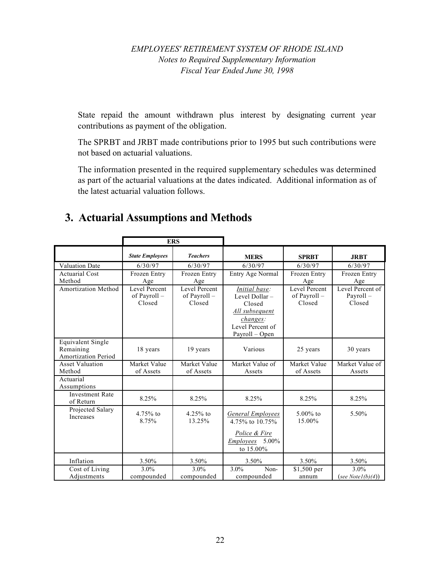### *EMPLOYEES' RETIREMENT SYSTEM OF RHODE ISLAND Notes to Required Supplementary Information Fiscal Year Ended June 30, 1998*

State repaid the amount withdrawn plus interest by designating current year contributions as payment of the obligation.

The SPRBT and JRBT made contributions prior to 1995 but such contributions were not based on actuarial valuations.

The information presented in the required supplementary schedules was determined as part of the actuarial valuations at the dates indicated. Additional information as of the latest actuarial valuation follows.

# **3. Actuarial Assumptions and Methods**

|                                                                     |                                         | <b>ERS</b>                                     |                                                                                                              |                                         |                                        |
|---------------------------------------------------------------------|-----------------------------------------|------------------------------------------------|--------------------------------------------------------------------------------------------------------------|-----------------------------------------|----------------------------------------|
|                                                                     | <b>State Employees</b>                  | <b>Teachers</b>                                | <b>MERS</b>                                                                                                  | <b>SPRBT</b>                            | <b>JRBT</b>                            |
| <b>Valuation Date</b>                                               | 6/30/97                                 | 6/30/97                                        | 6/30/97                                                                                                      | 6/30/97                                 | 6/30/97                                |
| <b>Actuarial Cost</b>                                               | Frozen Entry                            | Frozen Entry                                   | Entry Age Normal                                                                                             | Frozen Entry                            | Frozen Entry                           |
| Method                                                              | Age                                     | Age                                            |                                                                                                              | Age                                     | Age                                    |
| <b>Amortization Method</b>                                          | Level Percent<br>of Payroll -<br>Closed | <b>Level Percent</b><br>of Payroll -<br>Closed | Initial base:<br>Level Dollar-<br>Closed<br>All subsequent<br>changes:<br>Level Percent of<br>Payroll - Open | Level Percent<br>of Payroll -<br>Closed | Level Percent of<br>Payroll-<br>Closed |
| <b>Equivalent Single</b><br>Remaining<br><b>Amortization Period</b> | 18 years                                | 19 years                                       | Various                                                                                                      | 25 years                                | 30 years                               |
| <b>Asset Valuation</b>                                              | Market Value                            | Market Value                                   | Market Value of                                                                                              | Market Value                            | Market Value of                        |
| Method                                                              | of Assets                               | of Assets                                      | Assets                                                                                                       | of Assets                               | Assets                                 |
| Actuarial<br>Assumptions                                            |                                         |                                                |                                                                                                              |                                         |                                        |
| <b>Investment Rate</b><br>of Return                                 | 8.25%                                   | 8.25%                                          | 8.25%                                                                                                        | 8.25%                                   | 8.25%                                  |
| Projected Salary<br>Increases                                       | $4.75%$ to<br>8.75%                     | $4.25%$ to<br>13.25%                           | <b>General Employees</b><br>4.75% to 10.75%<br>Police & Fire<br>Employees 5.00%<br>to $15.00\%$              | 5.00% to<br>15.00%                      | 5.50%                                  |
| Inflation                                                           | 3.50%                                   | 3.50%                                          | 3.50%                                                                                                        | 3.50%                                   | 3.50%                                  |
| Cost of Living                                                      | $3.0\%$                                 | $3.0\%$                                        | 3.0%<br>Non-                                                                                                 | $$1,500$ per                            | 3.0%                                   |
| Adjustments                                                         | compounded                              | compounded                                     | compounded                                                                                                   | annum                                   | (see Notel(b)(4))                      |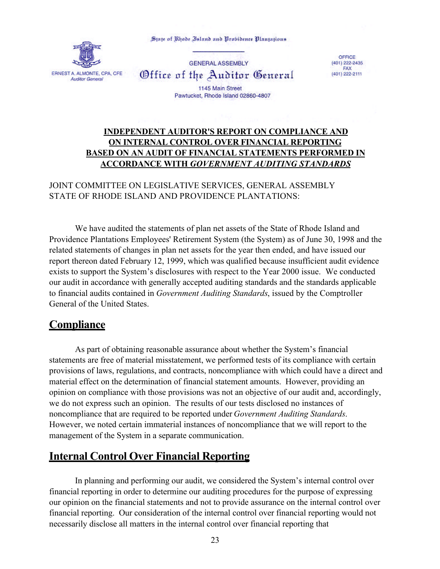State of Rhode Island and Probidence Plantations



**GENERAL ASSEMBLY** Office of the Auditor General

OFFICE  $(401)$  222-2435<br>FAX (401) 222-2111

1145 Main Street Pawtucket, Rhode Island 02860-4807

### **INDEPENDENT AUDITOR'S REPORT ON COMPLIANCE AND ON INTERNAL CONTROL OVER FINANCIAL REPORTING BASED ON AN AUDIT OF FINANCIAL STATEMENTS PERFORMED IN ACCORDANCE WITH** *GOVERNMENT AUDITING STANDARDS*

#### JOINT COMMITTEE ON LEGISLATIVE SERVICES, GENERAL ASSEMBLY STATE OF RHODE ISLAND AND PROVIDENCE PLANTATIONS:

We have audited the statements of plan net assets of the State of Rhode Island and Providence Plantations Employees' Retirement System (the System) as of June 30, 1998 and the related statements of changes in plan net assets for the year then ended, and have issued our report thereon dated February 12, 1999, which was qualified because insufficient audit evidence exists to support the System's disclosures with respect to the Year 2000 issue. We conducted our audit in accordance with generally accepted auditing standards and the standards applicable to financial audits contained in *Government Auditing Standards*, issued by the Comptroller General of the United States.

### **Compliance**

As part of obtaining reasonable assurance about whether the System's financial statements are free of material misstatement, we performed tests of its compliance with certain provisions of laws, regulations, and contracts, noncompliance with which could have a direct and material effect on the determination of financial statement amounts. However, providing an opinion on compliance with those provisions was not an objective of our audit and, accordingly, we do not express such an opinion. The results of our tests disclosed no instances of noncompliance that are required to be reported under *Government Auditing Standards*. However, we noted certain immaterial instances of noncompliance that we will report to the management of the System in a separate communication.

# **Internal Control Over Financial Reporting**

In planning and performing our audit, we considered the System's internal control over financial reporting in order to determine our auditing procedures for the purpose of expressing our opinion on the financial statements and not to provide assurance on the internal control over financial reporting. Our consideration of the internal control over financial reporting would not necessarily disclose all matters in the internal control over financial reporting that